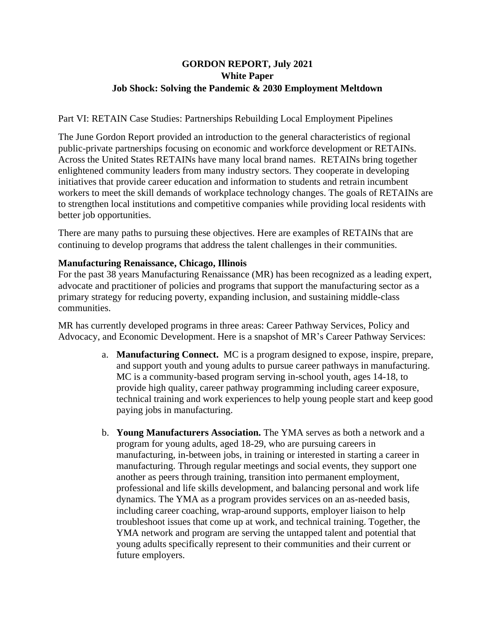# **GORDON REPORT, July 2021 White Paper Job Shock: Solving the Pandemic & 2030 Employment Meltdown**

Part VI: RETAIN Case Studies: Partnerships Rebuilding Local Employment Pipelines

The June Gordon Report provided an introduction to the general characteristics of regional public-private partnerships focusing on economic and workforce development or RETAINs. Across the United States RETAINs have many local brand names. RETAINs bring together enlightened community leaders from many industry sectors. They cooperate in developing initiatives that provide career education and information to students and retrain incumbent workers to meet the skill demands of workplace technology changes. The goals of RETAINs are to strengthen local institutions and competitive companies while providing local residents with better job opportunities.

There are many paths to pursuing these objectives. Here are examples of RETAINs that are continuing to develop programs that address the talent challenges in their communities.

### **Manufacturing Renaissance, Chicago, Illinois**

For the past 38 years Manufacturing Renaissance (MR) has been recognized as a leading expert, advocate and practitioner of policies and programs that support the manufacturing sector as a primary strategy for reducing poverty, expanding inclusion, and sustaining middle-class communities.

MR has currently developed programs in three areas: Career Pathway Services, Policy and Advocacy, and Economic Development. Here is a snapshot of MR's Career Pathway Services:

- a. **Manufacturing Connect.** MC is a program designed to expose, inspire, prepare, and support youth and young adults to pursue career pathways in manufacturing. MC is a community-based program serving in-school youth, ages 14-18, to provide high quality, career pathway programming including career exposure, technical training and work experiences to help young people start and keep good paying jobs in manufacturing.
- b. **Young Manufacturers Association.** The YMA serves as both a network and a program for young adults, aged 18-29, who are pursuing careers in manufacturing, in-between jobs, in training or interested in starting a career in manufacturing. Through regular meetings and social events, they support one another as peers through training, transition into permanent employment, professional and life skills development, and balancing personal and work life dynamics. The YMA as a program provides services on an as-needed basis, including career coaching, wrap-around supports, employer liaison to help troubleshoot issues that come up at work, and technical training. Together, the YMA network and program are serving the untapped talent and potential that young adults specifically represent to their communities and their current or future employers.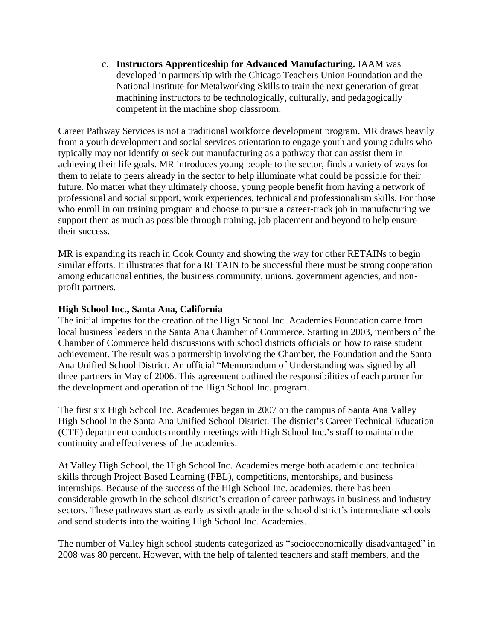c. **Instructors Apprenticeship for Advanced Manufacturing.** IAAM was developed in partnership with the Chicago Teachers Union Foundation and the National Institute for Metalworking Skills to train the next generation of great machining instructors to be technologically, culturally, and pedagogically competent in the machine shop classroom.

Career Pathway Services is not a traditional workforce development program. MR draws heavily from a youth development and social services orientation to engage youth and young adults who typically may not identify or seek out manufacturing as a pathway that can assist them in achieving their life goals. MR introduces young people to the sector, finds a variety of ways for them to relate to peers already in the sector to help illuminate what could be possible for their future. No matter what they ultimately choose, young people benefit from having a network of professional and social support, work experiences, technical and professionalism skills. For those who enroll in our training program and choose to pursue a career-track job in manufacturing we support them as much as possible through training, job placement and beyond to help ensure their success.

MR is expanding its reach in Cook County and showing the way for other RETAINs to begin similar efforts. It illustrates that for a RETAIN to be successful there must be strong cooperation among educational entities, the business community, unions. government agencies, and nonprofit partners.

### **High School Inc., Santa Ana, California**

The initial impetus for the creation of the High School Inc. Academies Foundation came from local business leaders in the Santa Ana Chamber of Commerce. Starting in 2003, members of the Chamber of Commerce held discussions with school districts officials on how to raise student achievement. The result was a partnership involving the Chamber, the Foundation and the Santa Ana Unified School District. An official "Memorandum of Understanding was signed by all three partners in May of 2006. This agreement outlined the responsibilities of each partner for the development and operation of the High School Inc. program.

The first six High School Inc. Academies began in 2007 on the campus of Santa Ana Valley High School in the Santa Ana Unified School District. The district's Career Technical Education (CTE) department conducts monthly meetings with High School Inc.'s staff to maintain the continuity and effectiveness of the academies.

At Valley High School, the High School Inc. Academies merge both academic and technical skills through Project Based Learning (PBL), competitions, mentorships, and business internships. Because of the success of the High School Inc. academies, there has been considerable growth in the school district's creation of career pathways in business and industry sectors. These pathways start as early as sixth grade in the school district's intermediate schools and send students into the waiting High School Inc. Academies.

The number of Valley high school students categorized as "socioeconomically disadvantaged" in 2008 was 80 percent. However, with the help of talented teachers and staff members, and the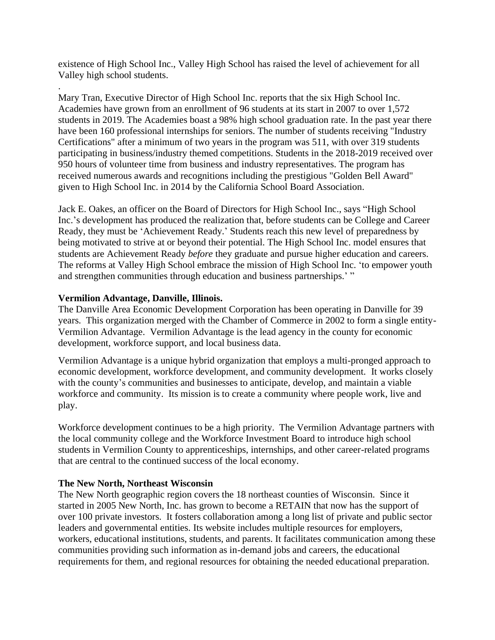existence of High School Inc., Valley High School has raised the level of achievement for all Valley high school students.

Mary Tran, Executive Director of High School Inc. reports that the six High School Inc. Academies have grown from an enrollment of 96 students at its start in 2007 to over 1,572 students in 2019. The Academies boast a 98% high school graduation rate. In the past year there have been 160 professional internships for seniors. The number of students receiving "Industry Certifications" after a minimum of two years in the program was 511, with over 319 students participating in business/industry themed competitions. Students in the 2018-2019 received over 950 hours of volunteer time from business and industry representatives. The program has received numerous awards and recognitions including the prestigious "Golden Bell Award" given to High School Inc. in 2014 by the California School Board Association.

Jack E. Oakes, an officer on the Board of Directors for High School Inc., says "High School Inc.'s development has produced the realization that, before students can be College and Career Ready, they must be 'Achievement Ready.' Students reach this new level of preparedness by being motivated to strive at or beyond their potential. The High School Inc. model ensures that students are Achievement Ready *before* they graduate and pursue higher education and careers. The reforms at Valley High School embrace the mission of High School Inc. 'to empower youth and strengthen communities through education and business partnerships.' "

### **Vermilion Advantage, Danville, Illinois.**

.

The Danville Area Economic Development Corporation has been operating in Danville for 39 years. This organization merged with the Chamber of Commerce in 2002 to form a single entity-Vermilion Advantage. Vermilion Advantage is the lead agency in the county for economic development, workforce support, and local business data.

Vermilion Advantage is a unique hybrid organization that employs a multi-pronged approach to economic development, workforce development, and community development. It works closely with the county's communities and businesses to anticipate, develop, and maintain a viable workforce and community. Its mission is to create a community where people work, live and play.

Workforce development continues to be a high priority. The Vermilion Advantage partners with the local community college and the Workforce Investment Board to introduce high school students in Vermilion County to apprenticeships, internships, and other career-related programs that are central to the continued success of the local economy.

#### **The New North, Northeast Wisconsin**

The New North geographic region covers the 18 northeast counties of Wisconsin. Since it started in 2005 New North, Inc. has grown to become a RETAIN that now has the support of over 100 private investors. It fosters collaboration among a long list of private and public sector leaders and governmental entities. Its website includes multiple resources for employers, workers, educational institutions, students, and parents. It facilitates communication among these communities providing such information as in-demand jobs and careers, the educational requirements for them, and regional resources for obtaining the needed educational preparation.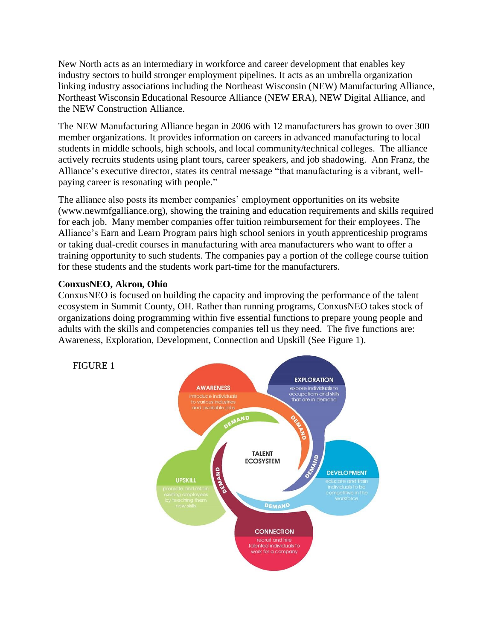New North acts as an intermediary in workforce and career development that enables key industry sectors to build stronger employment pipelines. It acts as an umbrella organization linking industry associations including the Northeast Wisconsin (NEW) Manufacturing Alliance, Northeast Wisconsin Educational Resource Alliance (NEW ERA), NEW Digital Alliance, and the NEW Construction Alliance.

The NEW Manufacturing Alliance began in 2006 with 12 manufacturers has grown to over 300 member organizations. It provides information on careers in advanced manufacturing to local students in middle schools, high schools, and local community/technical colleges. The alliance actively recruits students using plant tours, career speakers, and job shadowing. Ann Franz, the Alliance's executive director, states its central message "that manufacturing is a vibrant, wellpaying career is resonating with people."

The alliance also posts its member companies' employment opportunities on its website (www.newmfgalliance.org), showing the training and education requirements and skills required for each job. Many member companies offer tuition reimbursement for their employees. The Alliance's Earn and Learn Program pairs high school seniors in youth apprenticeship programs or taking dual-credit courses in manufacturing with area manufacturers who want to offer a training opportunity to such students. The companies pay a portion of the college course tuition for these students and the students work part-time for the manufacturers.

## **ConxusNEO, Akron, Ohio**

ConxusNEO is focused on building the capacity and improving the performance of the talent ecosystem in Summit County, OH. Rather than running programs, ConxusNEO takes stock of organizations doing programming within five essential functions to prepare young people and adults with the skills and competencies companies tell us they need. The five functions are: Awareness, Exploration, Development, Connection and Upskill (See Figure 1).